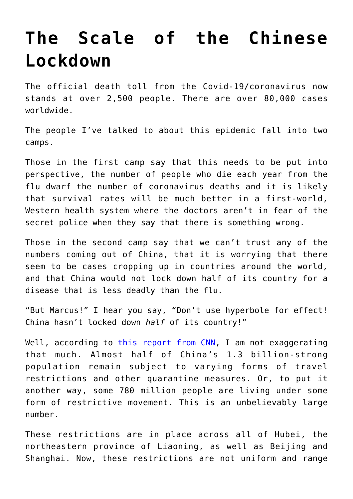## **[The Scale of the Chinese](https://intellectualtakeout.org/2020/02/the-scale-of-the-chinese-lockdown/) [Lockdown](https://intellectualtakeout.org/2020/02/the-scale-of-the-chinese-lockdown/)**

The official death toll from the Covid-19/coronavirus now stands at over 2,500 people. There are over 80,000 cases worldwide.

The people I've talked to about this epidemic fall into two camps.

Those in the first camp say that this needs to be put into perspective, the number of people who die each year from the flu dwarf the number of coronavirus deaths and it is likely that survival rates will be much better in a first-world, Western health system where the doctors aren't in fear of the secret police when they say that there is something wrong.

Those in the second camp say that we can't trust any of the numbers coming out of China, that it is worrying that there seem to be cases cropping up in countries around the world, and that China would not lock down half of its country for a disease that is less deadly than the flu.

"But Marcus!" I hear you say, "Don't use hyperbole for effect! China hasn't locked down *half* of its country!"

Well, according to [this report from CNN](https://edition.cnn.com/2020/02/17/asia/coronavirus-covid-19-update-intl-hnk/index.html), I am not exaggerating that much. Almost half of China's 1.3 billion-strong population remain subject to varying forms of travel restrictions and other quarantine measures. Or, to put it another way, some 780 million people are living under some form of restrictive movement. This is an unbelievably large number.

These restrictions are in place across all of Hubei, the northeastern province of Liaoning, as well as Beijing and Shanghai. Now, these restrictions are not uniform and range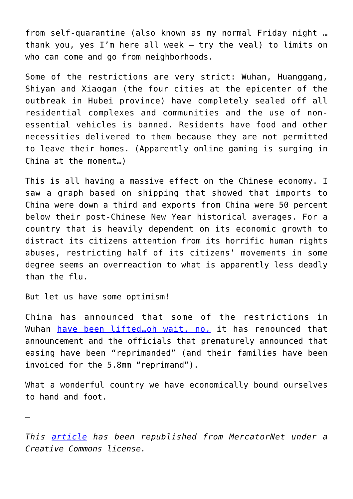from self-quarantine (also known as my normal Friday night … thank you, yes I'm here all week – try the veal) to limits on who can come and go from neighborhoods.

Some of the restrictions are very strict: Wuhan, Huanggang, Shiyan and Xiaogan (the four cities at the epicenter of the outbreak in Hubei province) have completely sealed off all residential complexes and communities and the use of nonessential vehicles is banned. Residents have food and other necessities delivered to them because they are not permitted to leave their homes. (Apparently online gaming is surging in China at the moment…)

This is all having a massive effect on the Chinese economy. I saw a graph based on shipping that showed that imports to China were down a third and exports from China were 50 percent below their post-Chinese New Year historical averages. For a country that is heavily dependent on its economic growth to distract its citizens attention from its horrific human rights abuses, restricting half of its citizens' movements in some degree seems an overreaction to what is apparently less deadly than the flu.

But let us have some optimism!

China has announced that some of the restrictions in Wuhan have been lifted...oh wait, no, it has renounced that announcement and the officials that prematurely announced that easing have been "reprimanded" (and their families have been invoiced for the 5.8mm "reprimand").

What a wonderful country we have economically bound ourselves to hand and foot.

—

*This [article](https://www.mercatornet.com/demography/view/the-scale-of-the-chinese-lockdown/23321) has been republished from MercatorNet under a Creative Commons license.*